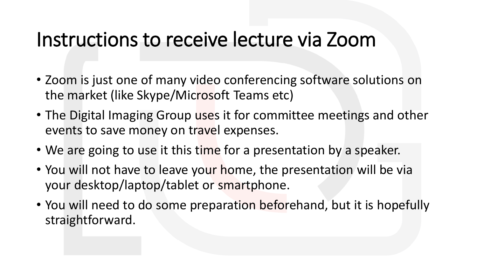#### Instructions to receive lecture via Zoom

- Zoom is just one of many video conferencing software solutions on the market (like Skype/Microsoft Teams etc)
- The Digital Imaging Group uses it for committee meetings and other events to save money on travel expenses.
- We are going to use it this time for a presentation by a speaker.
- You will not have to leave your home, the presentation will be via your desktop/laptop/tablet or smartphone.
- You will need to do some preparation beforehand, but it is hopefully straightforward.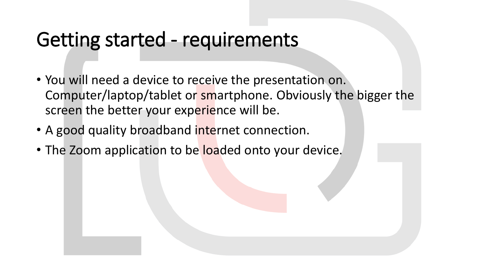#### Getting started - requirements

- You will need a device to receive the presentation on. Computer/laptop/tablet or smartphone. Obviously the bigger the screen the better your experience will be.
- A good quality broadband internet connection.
- The Zoom application to be loaded onto your device.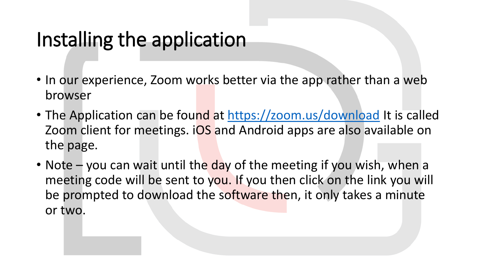## Installing the application

- In our experience, Zoom works better via the app rather than a web browser
- The Application can be found at <https://zoom.us/download> It is called Zoom client for meetings. iOS and Android apps are also available on the page.
- Note you can wait until the day of the meeting if you wish, when a meeting code will be sent to you. If you then click on the link you will be prompted to download the software then, it only takes a minute or two.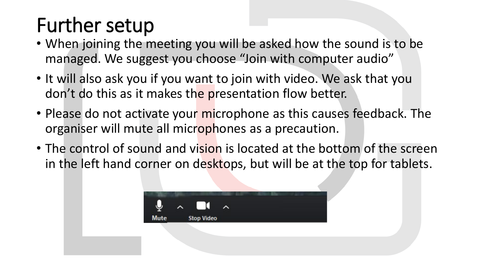# Further setup

- When joining the meeting you will be asked how the sound is to be managed. We suggest you choose "Join with computer audio"
- It will also ask you if you want to join with video. We ask that you don't do this as it makes the presentation flow better.
- Please do not activate your microphone as this causes feedback. The organiser will mute all microphones as a precaution.
- The control of sound and vision is located at the bottom of the screen in the left hand corner on desktops, but will be at the top for tablets.

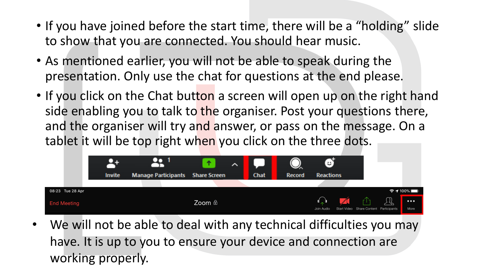- If you have joined before the start time, there will be a "holding" slide to show that you are connected. You should hear music.
- As mentioned earlier, you will not be able to speak during the presentation. Only use the chat for questions at the end please.
- If you click on the Chat button a screen will open up on the right hand side enabling you to talk to the organiser. Post your questions there, and the organiser will try and answer, or pass on the message. On a tablet it will be top right when you click on the three dots.



We will not be able to deal with any technical difficulties you may have. It is up to you to ensure your device and connection are working properly.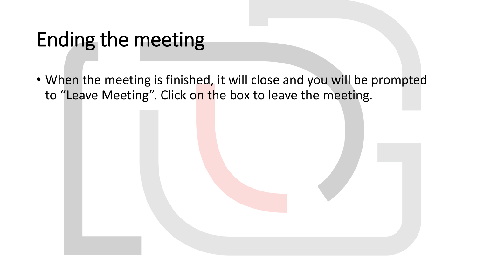## Ending the meeting

• When the meeting is finished, it will close and you will be prompted to "Leave Meeting". Click on the box to leave the meeting.